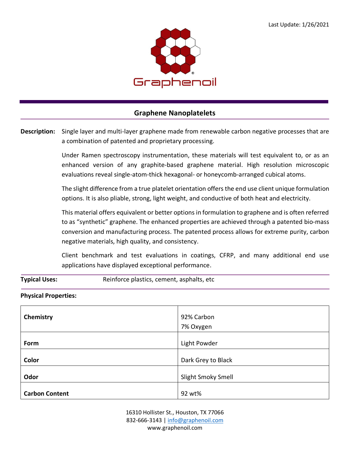

## **Graphene Nanoplatelets**

**Description:** Single layer and multi-layer graphene made from renewable carbon negative processes that are a combination of patented and proprietary processing.

> Under Ramen spectroscopy instrumentation, these materials will test equivalent to, or as an enhanced version of any graphite-based graphene material. High resolution microscopic evaluations reveal single-atom-thick hexagonal- or honeycomb-arranged cubical atoms.

> The slight difference from a true platelet orientation offers the end use client unique formulation options. It is also pliable, strong, light weight, and conductive of both heat and electricity.

> This material offers equivalent or better options in formulation to graphene and is often referred to as "synthetic" graphene. The enhanced properties are achieved through a patented bio-mass conversion and manufacturing process. The patented process allows for extreme purity, carbon negative materials, high quality, and consistency.

> Client benchmark and test evaluations in coatings, CFRP, and many additional end use applications have displayed exceptional performance.

**Typical Uses:** Reinforce plastics, cement, asphalts, etc

## **Physical Properties:**

| Chemistry             | 92% Carbon         |
|-----------------------|--------------------|
|                       | 7% Oxygen          |
|                       |                    |
| Form                  | Light Powder       |
|                       |                    |
| Color                 | Dark Grey to Black |
|                       |                    |
| Odor                  | Slight Smoky Smell |
|                       |                    |
| <b>Carbon Content</b> | 92 wt%             |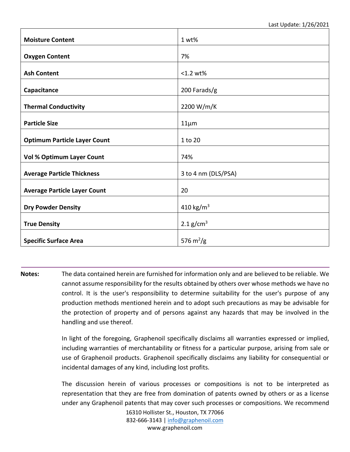| <b>Moisture Content</b>             | 1 wt%                   |
|-------------------------------------|-------------------------|
| <b>Oxygen Content</b>               | 7%                      |
| <b>Ash Content</b>                  | <1.2 wt%                |
| Capacitance                         | 200 Farads/g            |
| <b>Thermal Conductivity</b>         | 2200 W/m/K              |
| <b>Particle Size</b>                | $11\mu m$               |
| <b>Optimum Particle Layer Count</b> | 1 to 20                 |
| <b>Vol % Optimum Layer Count</b>    | 74%                     |
| <b>Average Particle Thickness</b>   | 3 to 4 nm (DLS/PSA)     |
|                                     | 20                      |
| <b>Average Particle Layer Count</b> |                         |
| <b>Dry Powder Density</b>           | 410 kg/m <sup>3</sup>   |
| <b>True Density</b>                 | $2.1$ g/cm <sup>3</sup> |
| <b>Specific Surface Area</b>        | 576 $m^2/g$             |

**Notes:** The data contained herein are furnished for information only and are believed to be reliable. We cannot assume responsibility for the results obtained by others over whose methods we have no control. It is the user's responsibility to determine suitability for the user's purpose of any production methods mentioned herein and to adopt such precautions as may be advisable for the protection of property and of persons against any hazards that may be involved in the handling and use thereof.

> In light of the foregoing, Graphenoil specifically disclaims all warranties expressed or implied, including warranties of merchantability or fitness for a particular purpose, arising from sale or use of Graphenoil products. Graphenoil specifically disclaims any liability for consequential or incidental damages of any kind, including lost profits.

> The discussion herein of various processes or compositions is not to be interpreted as representation that they are free from domination of patents owned by others or as a license under any Graphenoil patents that may cover such processes or compositions. We recommend

> > 16310 Hollister St., Houston, TX 77066 832-666-3143 [| info@graphenoil.com](mailto:info@graphenoil.com) www.graphenoil.com